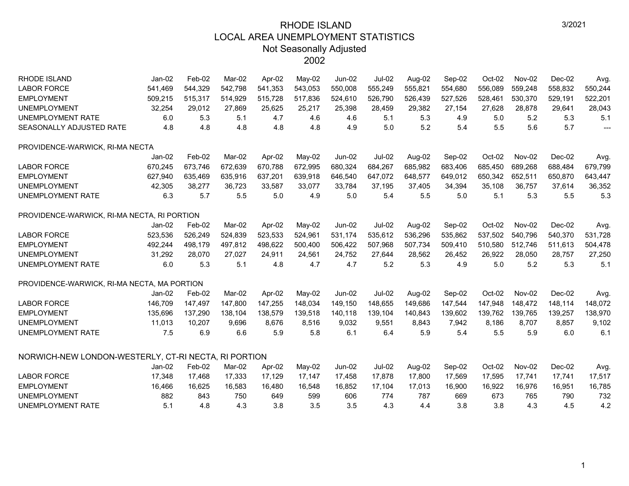| RHODE ISLAND                                         | $Jan-02$ | Feb-02  | Mar-02  | Apr-02  | $Mav-02$ | Jun-02        | <b>Jul-02</b> | Aug-02  | Sep-02  | Oct-02  | Nov-02  | Dec-02  | Avg.                     |
|------------------------------------------------------|----------|---------|---------|---------|----------|---------------|---------------|---------|---------|---------|---------|---------|--------------------------|
| <b>LABOR FORCE</b>                                   | 541,469  | 544,329 | 542,798 | 541,353 | 543,053  | 550,008       | 555,249       | 555,821 | 554,680 | 556,089 | 559,248 | 558,832 | 550,244                  |
| <b>EMPLOYMENT</b>                                    | 509,215  | 515,317 | 514,929 | 515,728 | 517,836  | 524,610       | 526,790       | 526,439 | 527,526 | 528,461 | 530,370 | 529,191 | 522,201                  |
| <b>UNEMPLOYMENT</b>                                  | 32,254   | 29,012  | 27,869  | 25,625  | 25,217   | 25,398        | 28,459        | 29,382  | 27,154  | 27,628  | 28,878  | 29,641  | 28,043                   |
| UNEMPLOYMENT RATE                                    | 6.0      | 5.3     | 5.1     | 4.7     | 4.6      | 4.6           | 5.1           | 5.3     | 4.9     | 5.0     | 5.2     | 5.3     | 5.1                      |
| SEASONALLY ADJUSTED RATE                             | 4.8      | 4.8     | 4.8     | 4.8     | 4.8      | 4.9           | 5.0           | 5.2     | 5.4     | 5.5     | 5.6     | 5.7     | $\overline{\phantom{a}}$ |
| PROVIDENCE-WARWICK, RI-MA NECTA                      |          |         |         |         |          |               |               |         |         |         |         |         |                          |
|                                                      | $Jan-02$ | Feb-02  | Mar-02  | Apr-02  | $May-02$ | $Jun-02$      | <b>Jul-02</b> | Aug-02  | Sep-02  | Oct-02  | Nov-02  | Dec-02  | Avg.                     |
| <b>LABOR FORCE</b>                                   | 670,245  | 673,746 | 672,639 | 670.788 | 672,995  | 680,324       | 684,267       | 685,982 | 683,406 | 685,450 | 689,268 | 688,484 | 679,799                  |
| <b>EMPLOYMENT</b>                                    | 627.940  | 635,469 | 635,916 | 637,201 | 639,918  | 646,540       | 647,072       | 648,577 | 649,012 | 650,342 | 652.511 | 650,870 | 643,447                  |
| <b>UNEMPLOYMENT</b>                                  | 42,305   | 38,277  | 36,723  | 33,587  | 33,077   | 33,784        | 37,195        | 37,405  | 34,394  | 35,108  | 36,757  | 37,614  | 36,352                   |
| UNEMPLOYMENT RATE                                    | 6.3      | 5.7     | 5.5     | 5.0     | 4.9      | 5.0           | 5.4           | 5.5     | 5.0     | 5.1     | 5.3     | 5.5     | 5.3                      |
| PROVIDENCE-WARWICK, RI-MA NECTA, RI PORTION          |          |         |         |         |          |               |               |         |         |         |         |         |                          |
|                                                      | Jan-02   | Feb-02  | Mar-02  | Apr-02  | May-02   | <b>Jun-02</b> | $Jul-02$      | Aug-02  | Sep-02  | Oct-02  | Nov-02  | Dec-02  | Avg.                     |
| <b>LABOR FORCE</b>                                   | 523,536  | 526,249 | 524,839 | 523,533 | 524,961  | 531,174       | 535,612       | 536,296 | 535,862 | 537,502 | 540,796 | 540,370 | 531,728                  |
| <b>EMPLOYMENT</b>                                    | 492,244  | 498,179 | 497,812 | 498,622 | 500,400  | 506,422       | 507,968       | 507,734 | 509,410 | 510,580 | 512,746 | 511,613 | 504,478                  |
| <b>UNEMPLOYMENT</b>                                  | 31,292   | 28,070  | 27,027  | 24,911  | 24,561   | 24,752        | 27,644        | 28,562  | 26,452  | 26,922  | 28,050  | 28,757  | 27,250                   |
| UNEMPLOYMENT RATE                                    | 6.0      | 5.3     | 5.1     | 4.8     | 4.7      | 4.7           | 5.2           | 5.3     | 4.9     | 5.0     | 5.2     | 5.3     | 5.1                      |
| PROVIDENCE-WARWICK, RI-MA NECTA, MA PORTION          |          |         |         |         |          |               |               |         |         |         |         |         |                          |
|                                                      | $Jan-02$ | Feb-02  | Mar-02  | Apr-02  | May-02   | Jun-02        | <b>Jul-02</b> | Aug-02  | Sep-02  | Oct-02  | Nov-02  | Dec-02  | Avg.                     |
| <b>LABOR FORCE</b>                                   | 146,709  | 147,497 | 147,800 | 147,255 | 148,034  | 149,150       | 148,655       | 149,686 | 147,544 | 147,948 | 148,472 | 148,114 | 148,072                  |
| <b>EMPLOYMENT</b>                                    | 135,696  | 137,290 | 138,104 | 138,579 | 139,518  | 140,118       | 139,104       | 140,843 | 139,602 | 139,762 | 139,765 | 139,257 | 138,970                  |
| <b>UNEMPLOYMENT</b>                                  | 11,013   | 10,207  | 9,696   | 8,676   | 8,516    | 9,032         | 9,551         | 8,843   | 7,942   | 8,186   | 8,707   | 8,857   | 9,102                    |
| UNEMPLOYMENT RATE                                    | 7.5      | 6.9     | 6.6     | 5.9     | 5.8      | 6.1           | 6.4           | 5.9     | 5.4     | 5.5     | 5.9     | 6.0     | 6.1                      |
| NORWICH-NEW LONDON-WESTERLY, CT-RI NECTA, RI PORTION |          |         |         |         |          |               |               |         |         |         |         |         |                          |
|                                                      | $Jan-02$ | Feb-02  | Mar-02  | Apr-02  | May-02   | $Jun-02$      | <b>Jul-02</b> | Aug-02  | Sep-02  | Oct-02  | Nov-02  | Dec-02  | Avg.                     |
| <b>LABOR FORCE</b>                                   | 17,348   | 17,468  | 17,333  | 17,129  | 17,147   | 17,458        | 17,878        | 17,800  | 17,569  | 17,595  | 17,741  | 17,741  | 17,517                   |
| <b>EMPLOYMENT</b>                                    | 16,466   | 16,625  | 16,583  | 16,480  | 16,548   | 16,852        | 17,104        | 17,013  | 16,900  | 16,922  | 16,976  | 16,951  | 16,785                   |
| <b>UNEMPLOYMENT</b>                                  | 882      | 843     | 750     | 649     | 599      | 606           | 774           | 787     | 669     | 673     | 765     | 790     | 732                      |
| UNEMPLOYMENT RATE                                    | 5.1      | 4.8     | 4.3     | 3.8     | 3.5      | 3.5           | 4.3           | 4.4     | 3.8     | 3.8     | 4.3     | 4.5     | 4.2                      |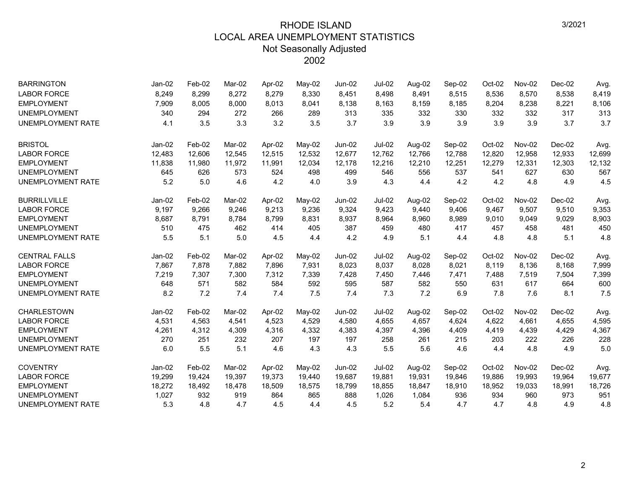| <b>BARRINGTON</b>        | Jan-02   | Feb-02 | Mar-02 | Apr-02 | May-02   | $Jun-02$      | <b>Jul-02</b> | Aug-02 | Sep-02 | Oct-02 | Nov-02 | $Dec-02$ | Avg.   |
|--------------------------|----------|--------|--------|--------|----------|---------------|---------------|--------|--------|--------|--------|----------|--------|
| <b>LABOR FORCE</b>       | 8,249    | 8,299  | 8,272  | 8,279  | 8,330    | 8,451         | 8,498         | 8,491  | 8,515  | 8,536  | 8,570  | 8,538    | 8,419  |
| <b>EMPLOYMENT</b>        | 7,909    | 8,005  | 8,000  | 8,013  | 8,041    | 8,138         | 8,163         | 8,159  | 8,185  | 8,204  | 8,238  | 8,221    | 8,106  |
| <b>UNEMPLOYMENT</b>      | 340      | 294    | 272    | 266    | 289      | 313           | 335           | 332    | 330    | 332    | 332    | 317      | 313    |
| <b>UNEMPLOYMENT RATE</b> | 4.1      | 3.5    | 3.3    | 3.2    | 3.5      | 3.7           | 3.9           | 3.9    | 3.9    | 3.9    | 3.9    | 3.7      | 3.7    |
| <b>BRISTOL</b>           | Jan-02   | Feb-02 | Mar-02 | Apr-02 | May-02   | <b>Jun-02</b> | <b>Jul-02</b> | Aug-02 | Sep-02 | Oct-02 | Nov-02 | Dec-02   | Avg.   |
| <b>LABOR FORCE</b>       | 12,483   | 12,606 | 12,545 | 12,515 | 12,532   | 12,677        | 12,762        | 12,766 | 12,788 | 12,820 | 12,958 | 12,933   | 12,699 |
| <b>EMPLOYMENT</b>        | 11,838   | 11,980 | 11,972 | 11,991 | 12,034   | 12,178        | 12,216        | 12,210 | 12,251 | 12,279 | 12,331 | 12,303   | 12,132 |
| <b>UNEMPLOYMENT</b>      | 645      | 626    | 573    | 524    | 498      | 499           | 546           | 556    | 537    | 541    | 627    | 630      | 567    |
| <b>UNEMPLOYMENT RATE</b> | 5.2      | 5.0    | 4.6    | 4.2    | 4.0      | 3.9           | 4.3           | 4.4    | 4.2    | 4.2    | 4.8    | 4.9      | 4.5    |
| <b>BURRILLVILLE</b>      | Jan-02   | Feb-02 | Mar-02 | Apr-02 | $Mav-02$ | Jun-02        | Jul-02        | Aug-02 | Sep-02 | Oct-02 | Nov-02 | Dec-02   | Avg.   |
| <b>LABOR FORCE</b>       | 9,197    | 9,266  | 9.246  | 9,213  | 9,236    | 9,324         | 9,423         | 9,440  | 9,406  | 9,467  | 9,507  | 9,510    | 9,353  |
| <b>EMPLOYMENT</b>        | 8,687    | 8,791  | 8,784  | 8,799  | 8,831    | 8,937         | 8,964         | 8,960  | 8,989  | 9,010  | 9,049  | 9,029    | 8,903  |
| <b>UNEMPLOYMENT</b>      | 510      | 475    | 462    | 414    | 405      | 387           | 459           | 480    | 417    | 457    | 458    | 481      | 450    |
| <b>UNEMPLOYMENT RATE</b> | 5.5      | 5.1    | 5.0    | 4.5    | 4.4      | 4.2           | 4.9           | 5.1    | 4.4    | 4.8    | 4.8    | 5.1      | 4.8    |
| <b>CENTRAL FALLS</b>     | $Jan-02$ | Feb-02 | Mar-02 | Apr-02 | May-02   | Jun-02        | <b>Jul-02</b> | Aug-02 | Sep-02 | Oct-02 | Nov-02 | Dec-02   | Avg.   |
| <b>LABOR FORCE</b>       | 7,867    | 7,878  | 7,882  | 7,896  | 7,931    | 8,023         | 8,037         | 8,028  | 8,021  | 8,119  | 8,136  | 8,168    | 7,999  |
| <b>EMPLOYMENT</b>        | 7,219    | 7,307  | 7,300  | 7,312  | 7,339    | 7,428         | 7,450         | 7,446  | 7,471  | 7,488  | 7,519  | 7,504    | 7,399  |
| <b>UNEMPLOYMENT</b>      | 648      | 571    | 582    | 584    | 592      | 595           | 587           | 582    | 550    | 631    | 617    | 664      | 600    |
| <b>UNEMPLOYMENT RATE</b> | 8.2      | 7.2    | 7.4    | 7.4    | 7.5      | 7.4           | 7.3           | 7.2    | 6.9    | 7.8    | 7.6    | 8.1      | 7.5    |
| CHARLESTOWN              | Jan-02   | Feb-02 | Mar-02 | Apr-02 | $May-02$ | <b>Jun-02</b> | <b>Jul-02</b> | Aug-02 | Sep-02 | Oct-02 | Nov-02 | $Dec-02$ | Avg.   |
| <b>LABOR FORCE</b>       | 4,531    | 4,563  | 4,541  | 4,523  | 4,529    | 4,580         | 4,655         | 4,657  | 4,624  | 4,622  | 4,661  | 4,655    | 4,595  |
| <b>EMPLOYMENT</b>        | 4,261    | 4,312  | 4,309  | 4,316  | 4,332    | 4,383         | 4,397         | 4,396  | 4,409  | 4,419  | 4,439  | 4,429    | 4,367  |
| <b>UNEMPLOYMENT</b>      | 270      | 251    | 232    | 207    | 197      | 197           | 258           | 261    | 215    | 203    | 222    | 226      | 228    |
| <b>UNEMPLOYMENT RATE</b> | 6.0      | 5.5    | 5.1    | 4.6    | 4.3      | 4.3           | 5.5           | 5.6    | 4.6    | 4.4    | 4.8    | 4.9      | 5.0    |
| <b>COVENTRY</b>          | $Jan-02$ | Feb-02 | Mar-02 | Apr-02 | May-02   | $Jun-02$      | <b>Jul-02</b> | Aug-02 | Sep-02 | Oct-02 | Nov-02 | Dec-02   | Avg.   |
| <b>LABOR FORCE</b>       | 19,299   | 19,424 | 19,397 | 19,373 | 19,440   | 19,687        | 19,881        | 19,931 | 19,846 | 19,886 | 19,993 | 19,964   | 19,677 |
| <b>EMPLOYMENT</b>        | 18,272   | 18,492 | 18,478 | 18,509 | 18,575   | 18,799        | 18,855        | 18,847 | 18,910 | 18,952 | 19,033 | 18,991   | 18,726 |
| <b>UNEMPLOYMENT</b>      | 1,027    | 932    | 919    | 864    | 865      | 888           | 1,026         | 1,084  | 936    | 934    | 960    | 973      | 951    |
| <b>UNEMPLOYMENT RATE</b> | 5.3      | 4.8    | 4.7    | 4.5    | 4.4      | 4.5           | 5.2           | 5.4    | 4.7    | 4.7    | 4.8    | 4.9      | 4.8    |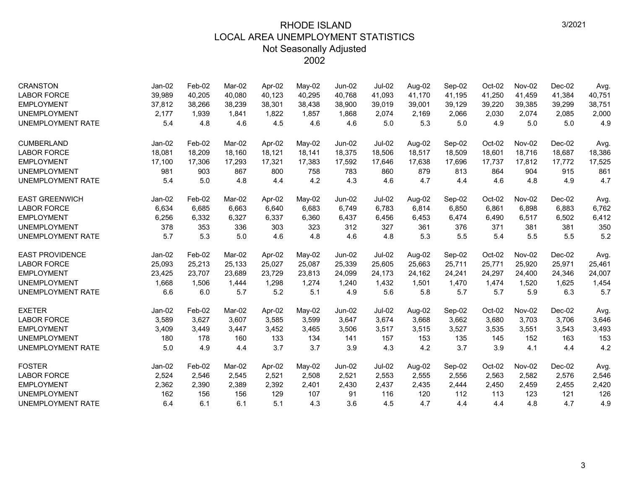| <b>CRANSTON</b>          | Jan-02   | Feb-02 | Mar-02 | Apr-02 | May-02   | Jun-02        | <b>Jul-02</b> | Aug-02 | Sep-02 | Oct-02 | Nov-02        | $Dec-02$ | Avg.   |
|--------------------------|----------|--------|--------|--------|----------|---------------|---------------|--------|--------|--------|---------------|----------|--------|
| <b>LABOR FORCE</b>       | 39,989   | 40,205 | 40,080 | 40,123 | 40,295   | 40,768        | 41,093        | 41,170 | 41,195 | 41,250 | 41,459        | 41,384   | 40,751 |
| <b>EMPLOYMENT</b>        | 37,812   | 38,266 | 38,239 | 38,301 | 38,438   | 38,900        | 39,019        | 39,001 | 39,129 | 39,220 | 39,385        | 39,299   | 38,751 |
| <b>UNEMPLOYMENT</b>      | 2.177    | 1.939  | 1,841  | 1.822  | 1,857    | 1.868         | 2,074         | 2,169  | 2,066  | 2,030  | 2,074         | 2,085    | 2,000  |
| <b>UNEMPLOYMENT RATE</b> | 5.4      | 4.8    | 4.6    | 4.5    | 4.6      | 4.6           | 5.0           | 5.3    | 5.0    | 4.9    | 5.0           | 5.0      | 4.9    |
| <b>CUMBERLAND</b>        | $Jan-02$ | Feb-02 | Mar-02 | Apr-02 | May-02   | Jun-02        | $Jul-02$      | Aug-02 | Sep-02 | Oct-02 | Nov-02        | $Dec-02$ | Avg.   |
| <b>LABOR FORCE</b>       | 18,081   | 18,209 | 18.160 | 18,121 | 18,141   | 18,375        | 18,506        | 18,517 | 18,509 | 18,601 | 18,716        | 18,687   | 18,386 |
| <b>EMPLOYMENT</b>        | 17,100   | 17,306 | 17,293 | 17,321 | 17,383   | 17,592        | 17,646        | 17,638 | 17,696 | 17,737 | 17,812        | 17,772   | 17,525 |
| <b>UNEMPLOYMENT</b>      | 981      | 903    | 867    | 800    | 758      | 783           | 860           | 879    | 813    | 864    | 904           | 915      | 861    |
| <b>UNEMPLOYMENT RATE</b> | 5.4      | 5.0    | 4.8    | 4.4    | 4.2      | 4.3           | 4.6           | 4.7    | 4.4    | 4.6    | 4.8           | 4.9      | 4.7    |
| <b>EAST GREENWICH</b>    | Jan-02   | Feb-02 | Mar-02 | Apr-02 | May-02   | Jun-02        | <b>Jul-02</b> | Aug-02 | Sep-02 | Oct-02 | Nov-02        | $Dec-02$ | Avg.   |
| <b>LABOR FORCE</b>       | 6,634    | 6,685  | 6,663  | 6,640  | 6,683    | 6,749         | 6,783         | 6,814  | 6,850  | 6,861  | 6,898         | 6,883    | 6,762  |
| <b>EMPLOYMENT</b>        | 6,256    | 6,332  | 6,327  | 6,337  | 6,360    | 6,437         | 6,456         | 6,453  | 6,474  | 6,490  | 6,517         | 6,502    | 6,412  |
| <b>UNEMPLOYMENT</b>      | 378      | 353    | 336    | 303    | 323      | 312           | 327           | 361    | 376    | 371    | 381           | 381      | 350    |
| UNEMPLOYMENT RATE        | 5.7      | 5.3    | 5.0    | 4.6    | 4.8      | 4.6           | 4.8           | 5.3    | 5.5    | 5.4    | 5.5           | 5.5      | 5.2    |
| <b>EAST PROVIDENCE</b>   | $Jan-02$ | Feb-02 | Mar-02 | Apr-02 | May-02   | Jun-02        | <b>Jul-02</b> | Aug-02 | Sep-02 | Oct-02 | <b>Nov-02</b> | $Dec-02$ | Avg.   |
| <b>LABOR FORCE</b>       | 25,093   | 25,213 | 25,133 | 25,027 | 25,087   | 25,339        | 25,605        | 25,663 | 25,711 | 25,771 | 25,920        | 25,971   | 25,461 |
| <b>EMPLOYMENT</b>        | 23,425   | 23,707 | 23,689 | 23,729 | 23,813   | 24,099        | 24,173        | 24,162 | 24,241 | 24,297 | 24,400        | 24,346   | 24,007 |
| <b>UNEMPLOYMENT</b>      | 1,668    | 1,506  | 1,444  | 1,298  | 1,274    | 1,240         | 1,432         | 1,501  | 1,470  | 1,474  | 1,520         | 1,625    | 1,454  |
| <b>UNEMPLOYMENT RATE</b> | 6.6      | 6.0    | 5.7    | 5.2    | 5.1      | 4.9           | 5.6           | 5.8    | 5.7    | 5.7    | 5.9           | 6.3      | 5.7    |
| <b>EXETER</b>            | Jan-02   | Feb-02 | Mar-02 | Apr-02 | $May-02$ | <b>Jun-02</b> | <b>Jul-02</b> | Aug-02 | Sep-02 | Oct-02 | Nov-02        | $Dec-02$ | Avg.   |
| <b>LABOR FORCE</b>       | 3,589    | 3,627  | 3,607  | 3,585  | 3,599    | 3,647         | 3,674         | 3,668  | 3,662  | 3,680  | 3,703         | 3,706    | 3,646  |
| <b>EMPLOYMENT</b>        | 3,409    | 3,449  | 3,447  | 3,452  | 3,465    | 3,506         | 3,517         | 3,515  | 3,527  | 3,535  | 3,551         | 3,543    | 3,493  |
| <b>UNEMPLOYMENT</b>      | 180      | 178    | 160    | 133    | 134      | 141           | 157           | 153    | 135    | 145    | 152           | 163      | 153    |
| UNEMPLOYMENT RATE        | 5.0      | 4.9    | 4.4    | 3.7    | 3.7      | 3.9           | 4.3           | 4.2    | 3.7    | 3.9    | 4.1           | 4.4      | 4.2    |
| <b>FOSTER</b>            | Jan-02   | Feb-02 | Mar-02 | Apr-02 | May-02   | Jun-02        | <b>Jul-02</b> | Aug-02 | Sep-02 | Oct-02 | Nov-02        | $Dec-02$ | Avg.   |
| <b>LABOR FORCE</b>       | 2,524    | 2,546  | 2.545  | 2,521  | 2,508    | 2,521         | 2,553         | 2,555  | 2,556  | 2,563  | 2,582         | 2,576    | 2,546  |
| <b>EMPLOYMENT</b>        | 2,362    | 2,390  | 2,389  | 2,392  | 2,401    | 2,430         | 2,437         | 2,435  | 2,444  | 2,450  | 2,459         | 2,455    | 2,420  |
| <b>UNEMPLOYMENT</b>      | 162      | 156    | 156    | 129    | 107      | 91            | 116           | 120    | 112    | 113    | 123           | 121      | 126    |
| UNEMPLOYMENT RATE        | 6.4      | 6.1    | 6.1    | 5.1    | 4.3      | 3.6           | 4.5           | 4.7    | 4.4    | 4.4    | 4.8           | 4.7      | 4.9    |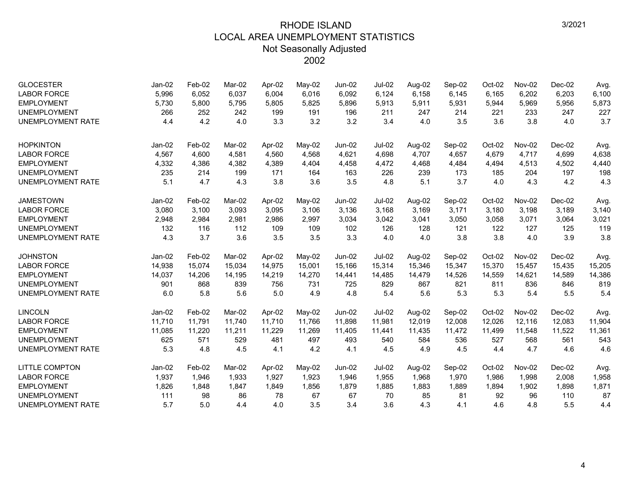| <b>GLOCESTER</b><br><b>LABOR FORCE</b><br><b>EMPLOYMENT</b><br><b>UNEMPLOYMENT</b><br><b>UNEMPLOYMENT RATE</b> | $Jan-02$<br>5,996<br>5,730<br>266<br>4.4 | Feb-02<br>6,052<br>5,800<br>252<br>4.2 | Mar-02<br>6,037<br>5,795<br>242<br>4.0 | Apr-02<br>6,004<br>5,805<br>199<br>3.3 | May-02<br>6,016<br>5,825<br>191<br>3.2 | <b>Jun-02</b><br>6,092<br>5,896<br>196<br>3.2 | <b>Jul-02</b><br>6,124<br>5,913<br>211<br>3.4 | Aug-02<br>6,158<br>5,911<br>247<br>4.0 | Sep-02<br>6,145<br>5,931<br>214<br>3.5 | Oct-02<br>6,165<br>5,944<br>221<br>3.6 | Nov-02<br>6,202<br>5,969<br>233<br>3.8 | $Dec-02$<br>6,203<br>5,956<br>247<br>4.0 | Avg.<br>6,100<br>5,873<br>227<br>3.7 |
|----------------------------------------------------------------------------------------------------------------|------------------------------------------|----------------------------------------|----------------------------------------|----------------------------------------|----------------------------------------|-----------------------------------------------|-----------------------------------------------|----------------------------------------|----------------------------------------|----------------------------------------|----------------------------------------|------------------------------------------|--------------------------------------|
| <b>HOPKINTON</b>                                                                                               | $Jan-02$                                 | Feb-02                                 | Mar-02                                 | Apr-02                                 | May-02                                 | <b>Jun-02</b>                                 | <b>Jul-02</b>                                 | Aug-02                                 | Sep-02                                 | Oct-02                                 | Nov-02                                 | $Dec-02$                                 | Avg.                                 |
| <b>LABOR FORCE</b>                                                                                             | 4,567                                    | 4,600                                  | 4,581                                  | 4,560                                  | 4,568                                  | 4,621                                         | 4,698                                         | 4,707                                  | 4,657                                  | 4,679                                  | 4,717                                  | 4,699                                    | 4,638                                |
| <b>EMPLOYMENT</b>                                                                                              | 4,332                                    | 4,386                                  | 4,382                                  | 4,389                                  | 4,404                                  | 4,458                                         | 4,472                                         | 4,468                                  | 4,484                                  | 4,494                                  | 4,513                                  | 4,502                                    | 4,440                                |
| <b>UNEMPLOYMENT</b>                                                                                            | 235                                      | 214                                    | 199                                    | 171                                    | 164                                    | 163                                           | 226                                           | 239                                    | 173                                    | 185                                    | 204                                    | 197                                      | 198                                  |
| <b>UNEMPLOYMENT RATE</b>                                                                                       | 5.1                                      | 4.7                                    | 4.3                                    | 3.8                                    | 3.6                                    | 3.5                                           | 4.8                                           | 5.1                                    | 3.7                                    | 4.0                                    | 4.3                                    | 4.2                                      | 4.3                                  |
| <b>JAMESTOWN</b>                                                                                               | Jan-02                                   | Feb-02                                 | Mar-02                                 | Apr-02                                 | May-02                                 | Jun-02                                        | <b>Jul-02</b>                                 | Aug-02                                 | Sep-02                                 | Oct-02                                 | Nov-02                                 | $Dec-02$                                 | Avg.                                 |
| <b>LABOR FORCE</b>                                                                                             | 3,080                                    | 3,100                                  | 3,093                                  | 3,095                                  | 3,106                                  | 3,136                                         | 3,168                                         | 3,169                                  | 3,171                                  | 3,180                                  | 3,198                                  | 3,189                                    | 3,140                                |
| <b>EMPLOYMENT</b>                                                                                              | 2,948                                    | 2,984                                  | 2,981                                  | 2,986                                  | 2,997                                  | 3,034                                         | 3,042                                         | 3,041                                  | 3,050                                  | 3,058                                  | 3,071                                  | 3,064                                    | 3,021                                |
| <b>UNEMPLOYMENT</b>                                                                                            | 132                                      | 116                                    | 112                                    | 109                                    | 109                                    | 102                                           | 126                                           | 128                                    | 121                                    | 122                                    | 127                                    | 125                                      | 119                                  |
| <b>UNEMPLOYMENT RATE</b>                                                                                       | 4.3                                      | 3.7                                    | 3.6                                    | 3.5                                    | 3.5                                    | 3.3                                           | 4.0                                           | 4.0                                    | 3.8                                    | 3.8                                    | 4.0                                    | 3.9                                      | 3.8                                  |
| <b>JOHNSTON</b>                                                                                                | Jan-02                                   | Feb-02                                 | Mar-02                                 | Apr-02                                 | May-02                                 | Jun-02                                        | <b>Jul-02</b>                                 | Aug-02                                 | Sep-02                                 | Oct-02                                 | Nov-02                                 | Dec-02                                   | Avg.                                 |
| <b>LABOR FORCE</b>                                                                                             | 14,938                                   | 15,074                                 | 15,034                                 | 14,975                                 | 15,001                                 | 15,166                                        | 15,314                                        | 15,346                                 | 15,347                                 | 15,370                                 | 15,457                                 | 15,435                                   | 15,205                               |
| <b>EMPLOYMENT</b>                                                                                              | 14,037                                   | 14,206                                 | 14,195                                 | 14,219                                 | 14,270                                 | 14,441                                        | 14,485                                        | 14,479                                 | 14,526                                 | 14,559                                 | 14,621                                 | 14,589                                   | 14,386                               |
| <b>UNEMPLOYMENT</b>                                                                                            | 901                                      | 868                                    | 839                                    | 756                                    | 731                                    | 725                                           | 829                                           | 867                                    | 821                                    | 811                                    | 836                                    | 846                                      | 819                                  |
| <b>UNEMPLOYMENT RATE</b>                                                                                       | 6.0                                      | 5.8                                    | 5.6                                    | 5.0                                    | 4.9                                    | 4.8                                           | 5.4                                           | 5.6                                    | 5.3                                    | 5.3                                    | 5.4                                    | 5.5                                      | 5.4                                  |
| <b>LINCOLN</b>                                                                                                 | Jan-02                                   | Feb-02                                 | Mar-02                                 | Apr-02                                 | May-02                                 | $Jun-02$                                      | Jul-02                                        | Aug-02                                 | Sep-02                                 | Oct-02                                 | Nov-02                                 | $Dec-02$                                 | Avg.                                 |
| <b>LABOR FORCE</b>                                                                                             | 11,710                                   | 11,791                                 | 11,740                                 | 11,710                                 | 11,766                                 | 11,898                                        | 11,981                                        | 12,019                                 | 12,008                                 | 12,026                                 | 12,116                                 | 12,083                                   | 11,904                               |
| <b>EMPLOYMENT</b>                                                                                              | 11,085                                   | 11,220                                 | 11,211                                 | 11,229                                 | 11,269                                 | 11,405                                        | 11,441                                        | 11,435                                 | 11,472                                 | 11,499                                 | 11,548                                 | 11,522                                   | 11,361                               |
| <b>UNEMPLOYMENT</b>                                                                                            | 625                                      | 571                                    | 529                                    | 481                                    | 497                                    | 493                                           | 540                                           | 584                                    | 536                                    | 527                                    | 568                                    | 561                                      | 543                                  |
| <b>UNEMPLOYMENT RATE</b>                                                                                       | 5.3                                      | 4.8                                    | 4.5                                    | 4.1                                    | 4.2                                    | 4.1                                           | 4.5                                           | 4.9                                    | 4.5                                    | 4.4                                    | 4.7                                    | 4.6                                      | 4.6                                  |
| <b>LITTLE COMPTON</b>                                                                                          | $Jan-02$                                 | Feb-02                                 | Mar-02                                 | Apr-02                                 | $Mav-02$                               | $Jun-02$                                      | $Jul-02$                                      | Aug-02                                 | Sep-02                                 | Oct-02                                 | Nov-02                                 | $Dec-02$                                 | Avg.                                 |
| <b>LABOR FORCE</b>                                                                                             | 1,937                                    | 1,946                                  | 1,933                                  | 1,927                                  | 1,923                                  | 1,946                                         | 1,955                                         | 1,968                                  | 1,970                                  | 1,986                                  | 1,998                                  | 2,008                                    | 1,958                                |
| <b>EMPLOYMENT</b>                                                                                              | 1,826                                    | 1,848                                  | 1,847                                  | 1,849                                  | 1,856                                  | 1,879                                         | 1,885                                         | 1,883                                  | 1,889                                  | 1,894                                  | 1,902                                  | 1,898                                    | 1,871                                |
| <b>UNEMPLOYMENT</b>                                                                                            | 111                                      | 98                                     | 86                                     | 78                                     | 67                                     | 67                                            | 70                                            | 85                                     | 81                                     | 92                                     | 96                                     | 110                                      | 87                                   |
| <b>UNEMPLOYMENT RATE</b>                                                                                       | 5.7                                      | 5.0                                    | 4.4                                    | 4.0                                    | 3.5                                    | 3.4                                           | 3.6                                           | 4.3                                    | 4.1                                    | 4.6                                    | 4.8                                    | 5.5                                      | 4.4                                  |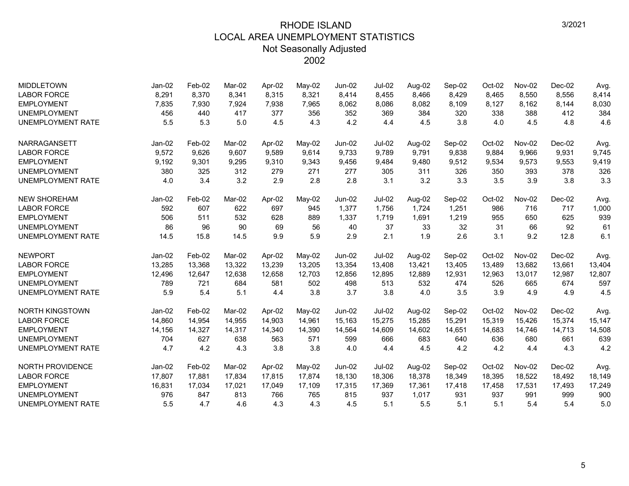| <b>MIDDLETOWN</b>        | $Jan-02$ | Feb-02 | Mar-02 | Apr-02 | May-02   | Jun-02        | <b>Jul-02</b> | Aug-02 | Sep-02 | Oct-02 | Nov-02 | Dec-02   | Avg.   |
|--------------------------|----------|--------|--------|--------|----------|---------------|---------------|--------|--------|--------|--------|----------|--------|
| <b>LABOR FORCE</b>       | 8,291    | 8,370  | 8,341  | 8,315  | 8,321    | 8,414         | 8,455         | 8,466  | 8,429  | 8,465  | 8,550  | 8,556    | 8,414  |
| <b>EMPLOYMENT</b>        | 7,835    | 7,930  | 7,924  | 7,938  | 7,965    | 8,062         | 8,086         | 8,082  | 8,109  | 8,127  | 8,162  | 8,144    | 8,030  |
| <b>UNEMPLOYMENT</b>      | 456      | 440    | 417    | 377    | 356      | 352           | 369           | 384    | 320    | 338    | 388    | 412      | 384    |
| <b>UNEMPLOYMENT RATE</b> | 5.5      | 5.3    | 5.0    | 4.5    | 4.3      | 4.2           | 4.4           | 4.5    | 3.8    | 4.0    | 4.5    | 4.8      | 4.6    |
| <b>NARRAGANSETT</b>      | $Jan-02$ | Feb-02 | Mar-02 | Apr-02 | $May-02$ | $Jun-02$      | <b>Jul-02</b> | Aug-02 | Sep-02 | Oct-02 | Nov-02 | $Dec-02$ | Avg.   |
| <b>LABOR FORCE</b>       | 9,572    | 9,626  | 9,607  | 9,589  | 9,614    | 9,733         | 9,789         | 9,791  | 9,838  | 9,884  | 9,966  | 9,931    | 9,745  |
| <b>EMPLOYMENT</b>        | 9,192    | 9,301  | 9,295  | 9,310  | 9,343    | 9,456         | 9,484         | 9,480  | 9,512  | 9,534  | 9,573  | 9,553    | 9,419  |
| <b>UNEMPLOYMENT</b>      | 380      | 325    | 312    | 279    | 271      | 277           | 305           | 311    | 326    | 350    | 393    | 378      | 326    |
| <b>UNEMPLOYMENT RATE</b> | 4.0      | 3.4    | 3.2    | 2.9    | 2.8      | 2.8           | 3.1           | 3.2    | 3.3    | 3.5    | 3.9    | 3.8      | 3.3    |
| <b>NEW SHOREHAM</b>      | Jan-02   | Feb-02 | Mar-02 | Apr-02 | May-02   | <b>Jun-02</b> | <b>Jul-02</b> | Aug-02 | Sep-02 | Oct-02 | Nov-02 | $Dec-02$ | Avg.   |
| <b>LABOR FORCE</b>       | 592      | 607    | 622    | 697    | 945      | 1,377         | 1,756         | 1,724  | 1,251  | 986    | 716    | 717      | 1,000  |
| <b>EMPLOYMENT</b>        | 506      | 511    | 532    | 628    | 889      | 1,337         | 1,719         | 1,691  | 1,219  | 955    | 650    | 625      | 939    |
| <b>UNEMPLOYMENT</b>      | 86       | 96     | 90     | 69     | 56       | 40            | 37            | 33     | 32     | 31     | 66     | 92       | 61     |
| <b>UNEMPLOYMENT RATE</b> | 14.5     | 15.8   | 14.5   | 9.9    | 5.9      | 2.9           | 2.1           | 1.9    | 2.6    | 3.1    | 9.2    | 12.8     | 6.1    |
| <b>NEWPORT</b>           | $Jan-02$ | Feb-02 | Mar-02 | Apr-02 | May-02   | $Jun-02$      | <b>Jul-02</b> | Aug-02 | Sep-02 | Oct-02 | Nov-02 | $Dec-02$ | Avg.   |
| <b>LABOR FORCE</b>       | 13,285   | 13,368 | 13,322 | 13,239 | 13,205   | 13,354        | 13,408        | 13,421 | 13,405 | 13,489 | 13,682 | 13,661   | 13,404 |
| <b>EMPLOYMENT</b>        | 12,496   | 12,647 | 12,638 | 12,658 | 12,703   | 12,856        | 12,895        | 12,889 | 12,931 | 12,963 | 13,017 | 12,987   | 12,807 |
| <b>UNEMPLOYMENT</b>      | 789      | 721    | 684    | 581    | 502      | 498           | 513           | 532    | 474    | 526    | 665    | 674      | 597    |
| <b>UNEMPLOYMENT RATE</b> | 5.9      | 5.4    | 5.1    | 4.4    | 3.8      | 3.7           | 3.8           | 4.0    | 3.5    | 3.9    | 4.9    | 4.9      | 4.5    |
| <b>NORTH KINGSTOWN</b>   | Jan-02   | Feb-02 | Mar-02 | Apr-02 | May-02   | <b>Jun-02</b> | <b>Jul-02</b> | Aug-02 | Sep-02 | Oct-02 | Nov-02 | $Dec-02$ | Avg.   |
| <b>LABOR FORCE</b>       | 14,860   | 14,954 | 14.955 | 14,903 | 14,961   | 15,163        | 15,275        | 15,285 | 15,291 | 15,319 | 15,426 | 15,374   | 15,147 |
| <b>EMPLOYMENT</b>        | 14,156   | 14,327 | 14,317 | 14,340 | 14,390   | 14,564        | 14,609        | 14,602 | 14,651 | 14,683 | 14,746 | 14,713   | 14,508 |
| <b>UNEMPLOYMENT</b>      | 704      | 627    | 638    | 563    | 571      | 599           | 666           | 683    | 640    | 636    | 680    | 661      | 639    |
| <b>UNEMPLOYMENT RATE</b> | 4.7      | 4.2    | 4.3    | 3.8    | 3.8      | 4.0           | 4.4           | 4.5    | 4.2    | 4.2    | 4.4    | 4.3      | 4.2    |
| <b>NORTH PROVIDENCE</b>  | $Jan-02$ | Feb-02 | Mar-02 | Apr-02 | May-02   | $Jun-02$      | $Jul-02$      | Aug-02 | Sep-02 | Oct-02 | Nov-02 | $Dec-02$ | Avg.   |
| <b>LABOR FORCE</b>       | 17,807   | 17,881 | 17,834 | 17,815 | 17,874   | 18,130        | 18,306        | 18,378 | 18,349 | 18,395 | 18,522 | 18,492   | 18,149 |
| <b>EMPLOYMENT</b>        | 16,831   | 17,034 | 17,021 | 17,049 | 17,109   | 17,315        | 17,369        | 17,361 | 17,418 | 17,458 | 17,531 | 17,493   | 17,249 |
| <b>UNEMPLOYMENT</b>      | 976      | 847    | 813    | 766    | 765      | 815           | 937           | 1,017  | 931    | 937    | 991    | 999      | 900    |
| <b>UNEMPLOYMENT RATE</b> | 5.5      | 4.7    | 4.6    | 4.3    | 4.3      | 4.5           | 5.1           | 5.5    | 5.1    | 5.1    | 5.4    | 5.4      | 5.0    |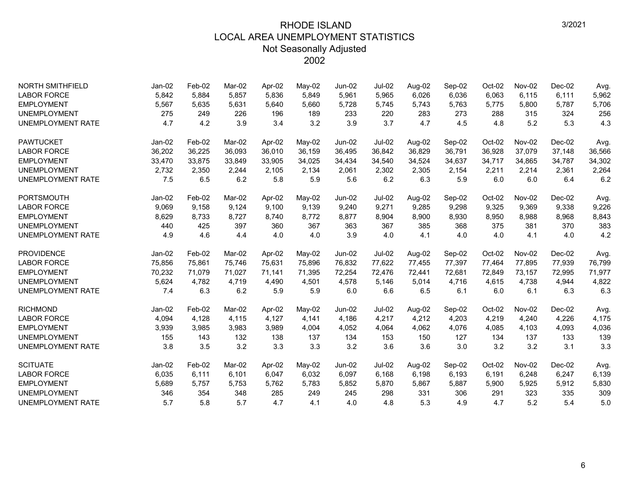| <b>NORTH SMITHFIELD</b>  | $Jan-02$ | Feb-02 | Mar-02 | Apr-02 | May-02 | Jun-02        | <b>Jul-02</b> | Aug-02 | Sep-02 | Oct-02 | Nov-02 | $Dec-02$ | Avg.   |
|--------------------------|----------|--------|--------|--------|--------|---------------|---------------|--------|--------|--------|--------|----------|--------|
| <b>LABOR FORCE</b>       | 5,842    | 5,884  | 5.857  | 5,836  | 5,849  | 5,961         | 5,965         | 6,026  | 6,036  | 6,063  | 6,115  | 6,111    | 5,962  |
| <b>EMPLOYMENT</b>        | 5,567    | 5,635  | 5,631  | 5,640  | 5,660  | 5,728         | 5,745         | 5,743  | 5,763  | 5,775  | 5,800  | 5,787    | 5,706  |
| <b>UNEMPLOYMENT</b>      | 275      | 249    | 226    | 196    | 189    | 233           | 220           | 283    | 273    | 288    | 315    | 324      | 256    |
| <b>UNEMPLOYMENT RATE</b> | 4.7      | 4.2    | 3.9    | 3.4    | 3.2    | 3.9           | 3.7           | 4.7    | 4.5    | 4.8    | 5.2    | 5.3      | 4.3    |
| <b>PAWTUCKET</b>         | $Jan-02$ | Feb-02 | Mar-02 | Apr-02 | May-02 | Jun-02        | $Jul-02$      | Aug-02 | Sep-02 | Oct-02 | Nov-02 | $Dec-02$ | Avg.   |
| <b>LABOR FORCE</b>       | 36,202   | 36,225 | 36,093 | 36,010 | 36,159 | 36,495        | 36,842        | 36,829 | 36,791 | 36,928 | 37,079 | 37,148   | 36,566 |
| <b>EMPLOYMENT</b>        | 33,470   | 33,875 | 33,849 | 33,905 | 34,025 | 34,434        | 34,540        | 34,524 | 34,637 | 34,717 | 34,865 | 34,787   | 34,302 |
| <b>UNEMPLOYMENT</b>      | 2,732    | 2,350  | 2,244  | 2,105  | 2,134  | 2,061         | 2,302         | 2,305  | 2,154  | 2,211  | 2,214  | 2,361    | 2,264  |
| <b>UNEMPLOYMENT RATE</b> | 7.5      | 6.5    | 6.2    | 5.8    | 5.9    | 5.6           | 6.2           | 6.3    | 5.9    | 6.0    | 6.0    | 6.4      | 6.2    |
| <b>PORTSMOUTH</b>        | $Jan-02$ | Feb-02 | Mar-02 | Apr-02 | May-02 | $Jun-02$      | Jul-02        | Aug-02 | Sep-02 | Oct-02 | Nov-02 | $Dec-02$ | Avg.   |
| <b>LABOR FORCE</b>       | 9,069    | 9,158  | 9,124  | 9,100  | 9,139  | 9,240         | 9,271         | 9,285  | 9,298  | 9,325  | 9,369  | 9,338    | 9,226  |
| <b>EMPLOYMENT</b>        | 8,629    | 8,733  | 8,727  | 8,740  | 8,772  | 8,877         | 8,904         | 8,900  | 8,930  | 8,950  | 8,988  | 8,968    | 8,843  |
| <b>UNEMPLOYMENT</b>      | 440      | 425    | 397    | 360    | 367    | 363           | 367           | 385    | 368    | 375    | 381    | 370      | 383    |
| <b>UNEMPLOYMENT RATE</b> | 4.9      | 4.6    | 4.4    | 4.0    | 4.0    | 3.9           | 4.0           | 4.1    | 4.0    | 4.0    | 4.1    | 4.0      | 4.2    |
| <b>PROVIDENCE</b>        | Jan-02   | Feb-02 | Mar-02 | Apr-02 | May-02 | <b>Jun-02</b> | <b>Jul-02</b> | Aug-02 | Sep-02 | Oct-02 | Nov-02 | Dec-02   | Avg.   |
| <b>LABOR FORCE</b>       | 75,856   | 75,861 | 75,746 | 75,631 | 75,896 | 76,832        | 77,622        | 77,455 | 77,397 | 77,464 | 77,895 | 77,939   | 76,799 |
| <b>EMPLOYMENT</b>        | 70,232   | 71.079 | 71.027 | 71.141 | 71.395 | 72,254        | 72.476        | 72,441 | 72.681 | 72.849 | 73.157 | 72.995   | 71,977 |
| <b>UNEMPLOYMENT</b>      | 5,624    | 4,782  | 4,719  | 4,490  | 4,501  | 4,578         | 5,146         | 5,014  | 4,716  | 4,615  | 4,738  | 4,944    | 4,822  |
| <b>UNEMPLOYMENT RATE</b> | 7.4      | 6.3    | 6.2    | 5.9    | 5.9    | 6.0           | 6.6           | 6.5    | 6.1    | 6.0    | 6.1    | 6.3      | 6.3    |
| <b>RICHMOND</b>          | Jan-02   | Feb-02 | Mar-02 | Apr-02 | May-02 | Jun-02        | Jul-02        | Aug-02 | Sep-02 | Oct-02 | Nov-02 | $Dec-02$ | Avg.   |
| <b>LABOR FORCE</b>       | 4,094    | 4,128  | 4,115  | 4,127  | 4,141  | 4,186         | 4,217         | 4,212  | 4,203  | 4,219  | 4,240  | 4,226    | 4,175  |
| <b>EMPLOYMENT</b>        | 3,939    | 3,985  | 3,983  | 3,989  | 4,004  | 4,052         | 4,064         | 4,062  | 4,076  | 4,085  | 4,103  | 4,093    | 4,036  |
| <b>UNEMPLOYMENT</b>      | 155      | 143    | 132    | 138    | 137    | 134           | 153           | 150    | 127    | 134    | 137    | 133      | 139    |
| <b>UNEMPLOYMENT RATE</b> | 3.8      | 3.5    | 3.2    | 3.3    | 3.3    | 3.2           | 3.6           | 3.6    | 3.0    | 3.2    | 3.2    | 3.1      | 3.3    |
| <b>SCITUATE</b>          | $Jan-02$ | Feb-02 | Mar-02 | Apr-02 | May-02 | $Jun-02$      | Jul-02        | Aug-02 | Sep-02 | Oct-02 | Nov-02 | $Dec-02$ | Avg.   |
| <b>LABOR FORCE</b>       | 6,035    | 6,111  | 6,101  | 6,047  | 6,032  | 6,097         | 6,168         | 6,198  | 6,193  | 6,191  | 6,248  | 6,247    | 6,139  |
| <b>EMPLOYMENT</b>        | 5,689    | 5,757  | 5,753  | 5,762  | 5,783  | 5,852         | 5,870         | 5,867  | 5,887  | 5,900  | 5,925  | 5,912    | 5,830  |
| <b>UNEMPLOYMENT</b>      | 346      | 354    | 348    | 285    | 249    | 245           | 298           | 331    | 306    | 291    | 323    | 335      | 309    |
| <b>UNEMPLOYMENT RATE</b> | 5.7      | 5.8    | 5.7    | 4.7    | 4.1    | 4.0           | 4.8           | 5.3    | 4.9    | 4.7    | 5.2    | 5.4      | 5.0    |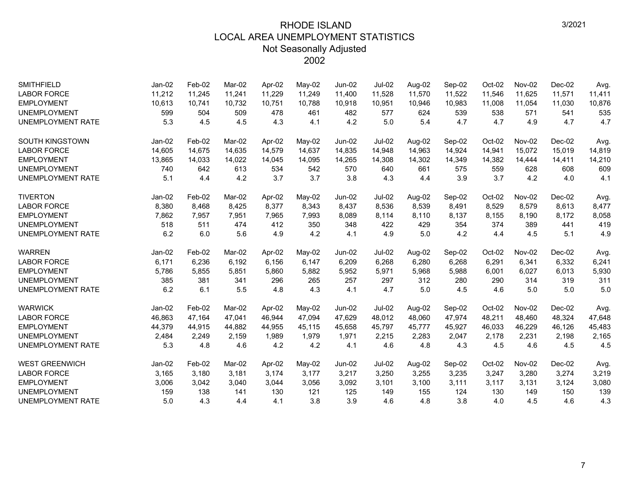| <b>SMITHFIELD</b>        | $Jan-02$ | Feb-02 | Mar-02 | Apr-02 | May-02 | $Jun-02$      | <b>Jul-02</b> | Aug-02 | Sep-02 | Oct-02   | Nov-02 | $Dec-02$ | Avg.   |
|--------------------------|----------|--------|--------|--------|--------|---------------|---------------|--------|--------|----------|--------|----------|--------|
| <b>LABOR FORCE</b>       | 11,212   | 11,245 | 11,241 | 11,229 | 11,249 | 11,400        | 11,528        | 11,570 | 11,522 | 11,546   | 11,625 | 11,571   | 11,411 |
| <b>EMPLOYMENT</b>        | 10,613   | 10,741 | 10,732 | 10,751 | 10,788 | 10,918        | 10,951        | 10,946 | 10,983 | 11,008   | 11,054 | 11,030   | 10,876 |
| <b>UNEMPLOYMENT</b>      | 599      | 504    | 509    | 478    | 461    | 482           | 577           | 624    | 539    | 538      | 571    | 541      | 535    |
| <b>UNEMPLOYMENT RATE</b> | 5.3      | 4.5    | 4.5    | 4.3    | 4.1    | 4.2           | 5.0           | 5.4    | 4.7    | 4.7      | 4.9    | 4.7      | 4.7    |
| <b>SOUTH KINGSTOWN</b>   | $Jan-02$ | Feb-02 | Mar-02 | Apr-02 | May-02 | $Jun-02$      | <b>Jul-02</b> | Aug-02 | Sep-02 | Oct-02   | Nov-02 | $Dec-02$ | Avg.   |
| <b>LABOR FORCE</b>       | 14,605   | 14,675 | 14,635 | 14,579 | 14,637 | 14,835        | 14,948        | 14,963 | 14,924 | 14,941   | 15,072 | 15,019   | 14,819 |
| <b>EMPLOYMENT</b>        | 13,865   | 14,033 | 14,022 | 14,045 | 14,095 | 14,265        | 14,308        | 14,302 | 14,349 | 14,382   | 14,444 | 14,411   | 14,210 |
| <b>UNEMPLOYMENT</b>      | 740      | 642    | 613    | 534    | 542    | 570           | 640           | 661    | 575    | 559      | 628    | 608      | 609    |
| <b>UNEMPLOYMENT RATE</b> | 5.1      | 4.4    | 4.2    | 3.7    | 3.7    | 3.8           | 4.3           | 4.4    | 3.9    | 3.7      | 4.2    | 4.0      | 4.1    |
| <b>TIVERTON</b>          | Jan-02   | Feb-02 | Mar-02 | Apr-02 | May-02 | $Jun-02$      | <b>Jul-02</b> | Aug-02 | Sep-02 | Oct-02   | Nov-02 | $Dec-02$ | Avg.   |
| <b>LABOR FORCE</b>       | 8,380    | 8,468  | 8,425  | 8,377  | 8,343  | 8,437         | 8,536         | 8,539  | 8,491  | 8,529    | 8,579  | 8,613    | 8,477  |
| <b>EMPLOYMENT</b>        | 7,862    | 7,957  | 7,951  | 7,965  | 7,993  | 8,089         | 8,114         | 8,110  | 8,137  | 8,155    | 8,190  | 8,172    | 8,058  |
| <b>UNEMPLOYMENT</b>      | 518      | 511    | 474    | 412    | 350    | 348           | 422           | 429    | 354    | 374      | 389    | 441      | 419    |
| <b>UNEMPLOYMENT RATE</b> | 6.2      | 6.0    | 5.6    | 4.9    | 4.2    | 4.1           | 4.9           | 5.0    | 4.2    | 4.4      | 4.5    | 5.1      | 4.9    |
| <b>WARREN</b>            | Jan-02   | Feb-02 | Mar-02 | Apr-02 | May-02 | Jun-02        | Jul-02        | Aug-02 | Sep-02 | $Oct-02$ | Nov-02 | $Dec-02$ | Avg.   |
| <b>LABOR FORCE</b>       | 6,171    | 6,236  | 6,192  | 6,156  | 6,147  | 6,209         | 6,268         | 6,280  | 6,268  | 6,291    | 6,341  | 6,332    | 6,241  |
| <b>EMPLOYMENT</b>        | 5,786    | 5,855  | 5,851  | 5,860  | 5,882  | 5,952         | 5,971         | 5,968  | 5,988  | 6,001    | 6,027  | 6,013    | 5,930  |
| <b>UNEMPLOYMENT</b>      | 385      | 381    | 341    | 296    | 265    | 257           | 297           | 312    | 280    | 290      | 314    | 319      | 311    |
| <b>UNEMPLOYMENT RATE</b> | 6.2      | 6.1    | 5.5    | 4.8    | 4.3    | 4.1           | 4.7           | 5.0    | 4.5    | 4.6      | 5.0    | 5.0      | 5.0    |
| <b>WARWICK</b>           | Jan-02   | Feb-02 | Mar-02 | Apr-02 | May-02 | <b>Jun-02</b> | <b>Jul-02</b> | Aug-02 | Sep-02 | Oct-02   | Nov-02 | Dec-02   | Avg.   |
| <b>LABOR FORCE</b>       | 46,863   | 47,164 | 47,041 | 46,944 | 47,094 | 47,629        | 48,012        | 48,060 | 47,974 | 48,211   | 48,460 | 48,324   | 47,648 |
| <b>EMPLOYMENT</b>        | 44,379   | 44,915 | 44.882 | 44,955 | 45,115 | 45,658        | 45,797        | 45,777 | 45,927 | 46,033   | 46,229 | 46,126   | 45,483 |
| <b>UNEMPLOYMENT</b>      | 2,484    | 2,249  | 2,159  | 1,989  | 1,979  | 1,971         | 2,215         | 2,283  | 2,047  | 2,178    | 2,231  | 2,198    | 2,165  |
| <b>UNEMPLOYMENT RATE</b> | 5.3      | 4.8    | 4.6    | 4.2    | 4.2    | 4.1           | 4.6           | 4.8    | 4.3    | 4.5      | 4.6    | 4.5      | 4.5    |
| <b>WEST GREENWICH</b>    | $Jan-02$ | Feb-02 | Mar-02 | Apr-02 | May-02 | $Jun-02$      | <b>Jul-02</b> | Aug-02 | Sep-02 | Oct-02   | Nov-02 | $Dec-02$ | Avg.   |
| <b>LABOR FORCE</b>       | 3,165    | 3,180  | 3,181  | 3,174  | 3,177  | 3,217         | 3,250         | 3,255  | 3,235  | 3,247    | 3,280  | 3,274    | 3,219  |
| <b>EMPLOYMENT</b>        | 3,006    | 3,042  | 3,040  | 3,044  | 3,056  | 3,092         | 3,101         | 3,100  | 3,111  | 3,117    | 3,131  | 3,124    | 3,080  |
| <b>UNEMPLOYMENT</b>      | 159      | 138    | 141    | 130    | 121    | 125           | 149           | 155    | 124    | 130      | 149    | 150      | 139    |
| <b>UNEMPLOYMENT RATE</b> | 5.0      | 4.3    | 4.4    | 4.1    | 3.8    | 3.9           | 4.6           | 4.8    | 3.8    | 4.0      | 4.5    | 4.6      | 4.3    |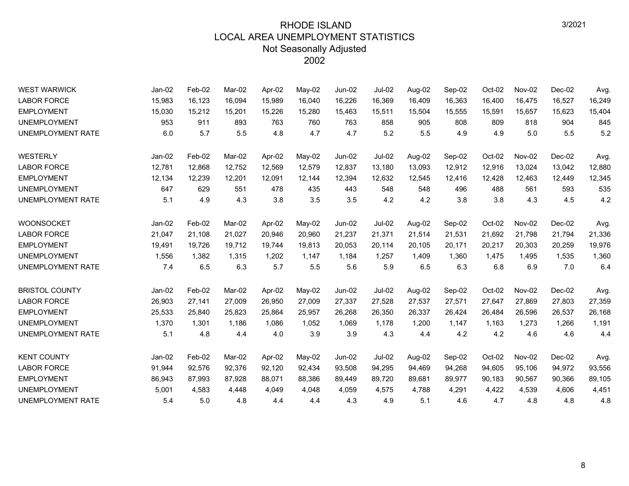| <b>WEST WARWICK</b>      | Jan-02   | Feb-02 | Mar-02 | Apr-02 | May-02   | <b>Jun-02</b> | <b>Jul-02</b> | Aug-02 | Sep-02 | Oct-02 | Nov-02 | $Dec-02$ | Avg.   |
|--------------------------|----------|--------|--------|--------|----------|---------------|---------------|--------|--------|--------|--------|----------|--------|
| <b>LABOR FORCE</b>       | 15,983   | 16,123 | 16,094 | 15,989 | 16,040   | 16,226        | 16,369        | 16,409 | 16,363 | 16,400 | 16,475 | 16,527   | 16,249 |
| <b>EMPLOYMENT</b>        | 15,030   | 15,212 | 15,201 | 15,226 | 15,280   | 15,463        | 15,511        | 15,504 | 15,555 | 15,591 | 15,657 | 15,623   | 15,404 |
| <b>UNEMPLOYMENT</b>      | 953      | 911    | 893    | 763    | 760      | 763           | 858           | 905    | 808    | 809    | 818    | 904      | 845    |
| UNEMPLOYMENT RATE        | 6.0      | 5.7    | 5.5    | 4.8    | 4.7      | 4.7           | 5.2           | 5.5    | 4.9    | 4.9    | 5.0    | 5.5      | 5.2    |
| WESTERLY                 | Jan-02   | Feb-02 | Mar-02 | Apr-02 | May-02   | Jun-02        | <b>Jul-02</b> | Aug-02 | Sep-02 | Oct-02 | Nov-02 | $Dec-02$ | Avg.   |
| <b>LABOR FORCE</b>       | 12,781   | 12,868 | 12,752 | 12,569 | 12,579   | 12,837        | 13,180        | 13,093 | 12,912 | 12,916 | 13,024 | 13,042   | 12,880 |
| <b>EMPLOYMENT</b>        | 12,134   | 12,239 | 12,201 | 12,091 | 12,144   | 12,394        | 12,632        | 12,545 | 12,416 | 12,428 | 12,463 | 12,449   | 12,345 |
| <b>UNEMPLOYMENT</b>      | 647      | 629    | 551    | 478    | 435      | 443           | 548           | 548    | 496    | 488    | 561    | 593      | 535    |
| UNEMPLOYMENT RATE        | 5.1      | 4.9    | 4.3    | 3.8    | 3.5      | 3.5           | 4.2           | 4.2    | 3.8    | 3.8    | 4.3    | 4.5      | 4.2    |
| <b>WOONSOCKET</b>        | Jan-02   | Feb-02 | Mar-02 | Apr-02 | May-02   | <b>Jun-02</b> | <b>Jul-02</b> | Aug-02 | Sep-02 | Oct-02 | Nov-02 | $Dec-02$ | Avg.   |
| <b>LABOR FORCE</b>       | 21,047   | 21,108 | 21,027 | 20,946 | 20,960   | 21,237        | 21,371        | 21,514 | 21,531 | 21,692 | 21,798 | 21,794   | 21,336 |
| <b>EMPLOYMENT</b>        | 19,491   | 19,726 | 19,712 | 19,744 | 19,813   | 20,053        | 20,114        | 20,105 | 20,171 | 20,217 | 20,303 | 20,259   | 19,976 |
| <b>UNEMPLOYMENT</b>      | 1,556    | 1,382  | 1,315  | 1,202  | 1,147    | 1,184         | 1,257         | 1,409  | 1,360  | 1,475  | 1,495  | 1,535    | 1,360  |
| <b>UNEMPLOYMENT RATE</b> | 7.4      | 6.5    | 6.3    | 5.7    | 5.5      | 5.6           | 5.9           | 6.5    | 6.3    | 6.8    | 6.9    | 7.0      | 6.4    |
| <b>BRISTOL COUNTY</b>    | $Jan-02$ | Feb-02 | Mar-02 | Apr-02 | $May-02$ | <b>Jun-02</b> | <b>Jul-02</b> | Aug-02 | Sep-02 | Oct-02 | Nov-02 | $Dec-02$ | Avg.   |
| <b>LABOR FORCE</b>       | 26,903   | 27,141 | 27,009 | 26,950 | 27,009   | 27,337        | 27,528        | 27,537 | 27,571 | 27,647 | 27,869 | 27,803   | 27,359 |
| <b>EMPLOYMENT</b>        | 25,533   | 25,840 | 25,823 | 25,864 | 25,957   | 26,268        | 26,350        | 26,337 | 26,424 | 26,484 | 26,596 | 26,537   | 26,168 |
| <b>UNEMPLOYMENT</b>      | 1,370    | 1,301  | 1,186  | 1,086  | 1,052    | 1,069         | 1,178         | 1,200  | 1,147  | 1,163  | 1,273  | 1,266    | 1,191  |
| UNEMPLOYMENT RATE        | 5.1      | 4.8    | 4.4    | 4.0    | 3.9      | 3.9           | 4.3           | 4.4    | 4.2    | 4.2    | 4.6    | 4.6      | 4.4    |
| <b>KENT COUNTY</b>       | Jan-02   | Feb-02 | Mar-02 | Apr-02 | May-02   | Jun-02        | <b>Jul-02</b> | Aug-02 | Sep-02 | Oct-02 | Nov-02 | Dec-02   | Avg.   |
| <b>LABOR FORCE</b>       | 91,944   | 92,576 | 92,376 | 92,120 | 92,434   | 93,508        | 94,295        | 94,469 | 94,268 | 94,605 | 95,106 | 94,972   | 93,556 |
| <b>EMPLOYMENT</b>        | 86,943   | 87,993 | 87,928 | 88,071 | 88,386   | 89,449        | 89,720        | 89,681 | 89,977 | 90,183 | 90,567 | 90,366   | 89,105 |
| <b>UNEMPLOYMENT</b>      | 5,001    | 4,583  | 4,448  | 4,049  | 4,048    | 4,059         | 4,575         | 4,788  | 4,291  | 4,422  | 4,539  | 4,606    | 4,451  |
| UNEMPLOYMENT RATE        | 5.4      | 5.0    | 4.8    | 4.4    | 4.4      | 4.3           | 4.9           | 5.1    | 4.6    | 4.7    | 4.8    | 4.8      | 4.8    |